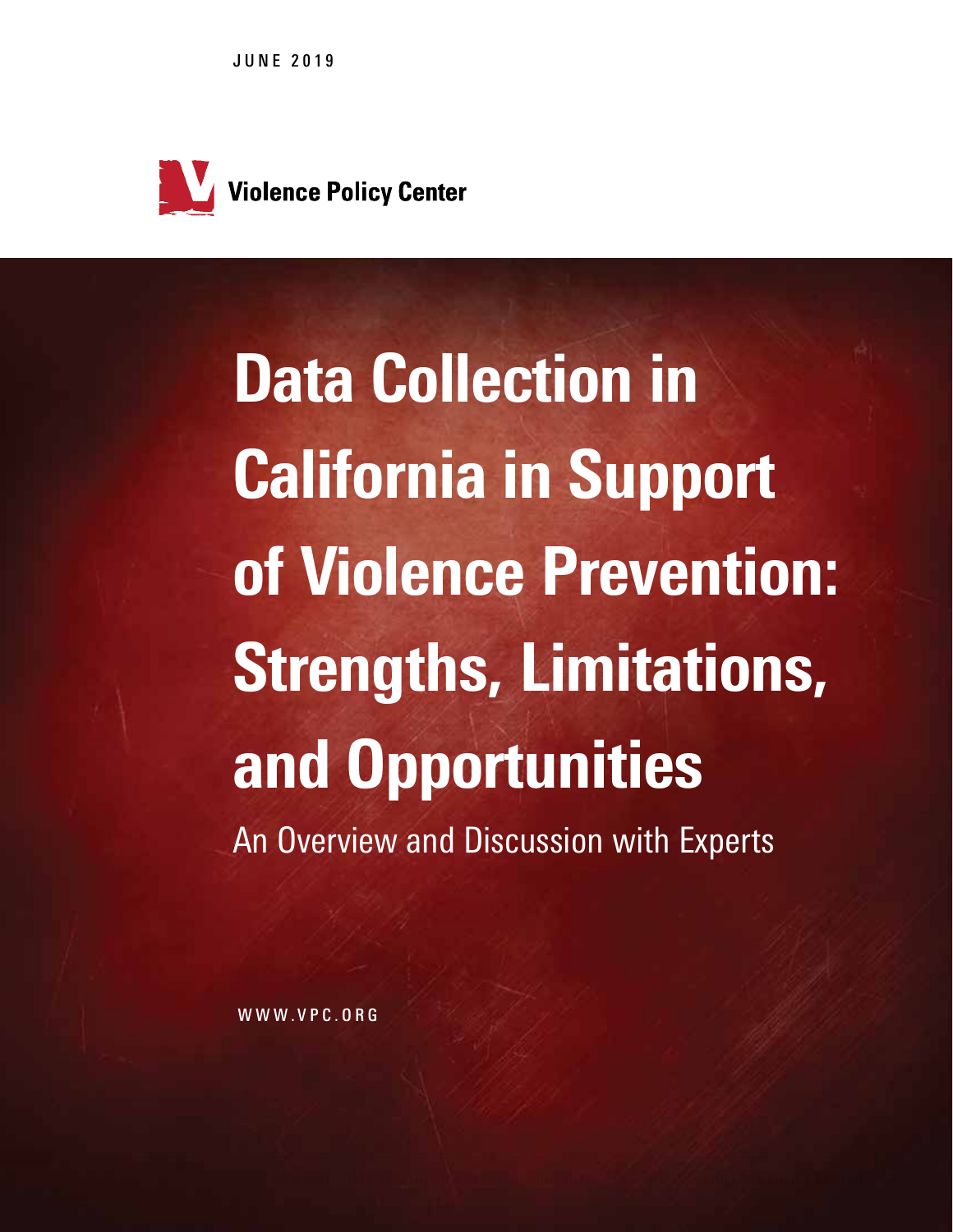JUNE 2019



Data Collection in California in Support of Violence Prevention: Strengths, Limitations, and Opportunities An Overview and Discussion with Experts

WWW.VPC.ORG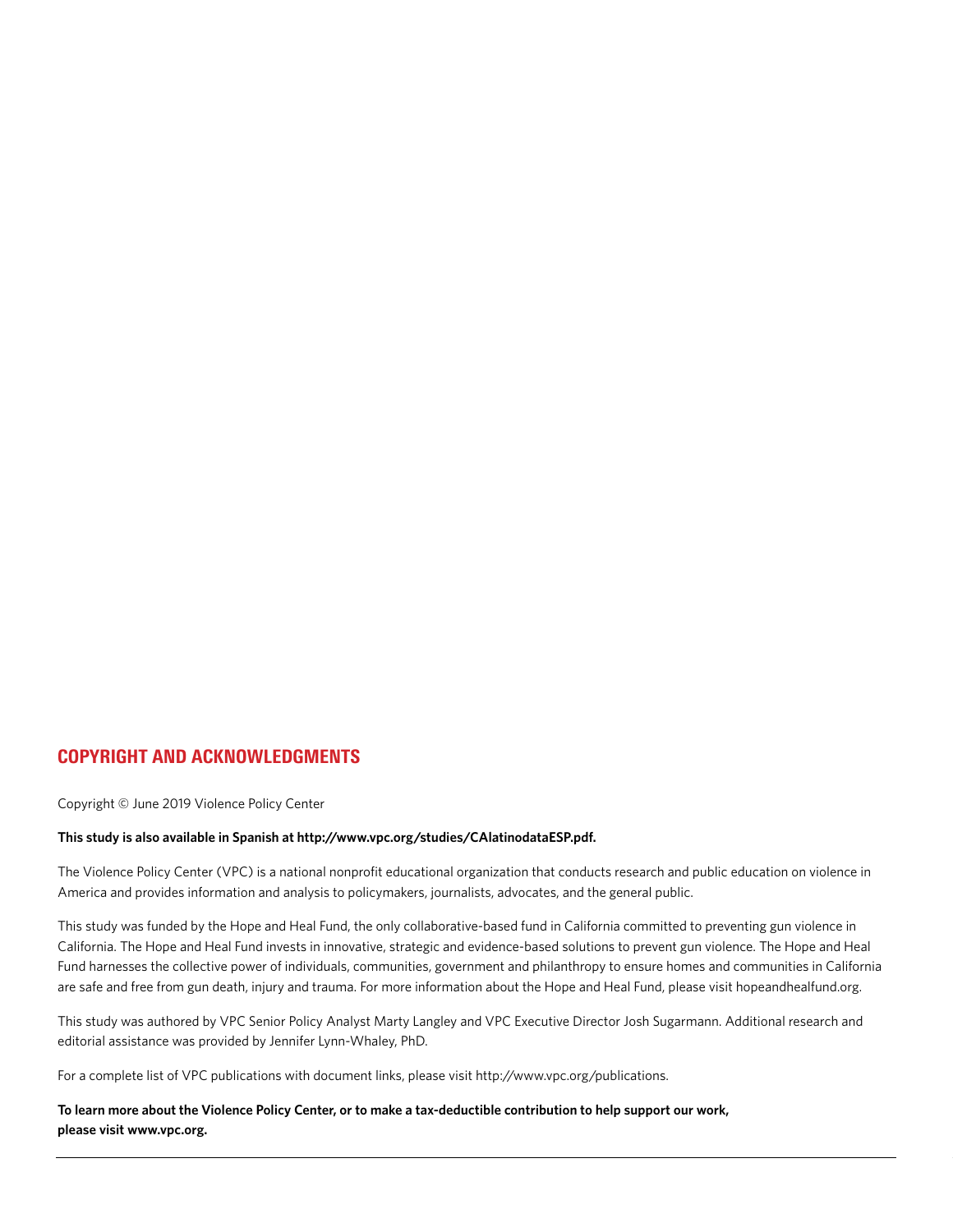### COPYRIGHT AND ACKNOWLEDGMENTS

Copyright © June 2019 Violence Policy Center

#### **This study is also available in Spanish at http://www.vpc.org/studies/CAlatinodataESP.pdf.**

The Violence Policy Center (VPC) is a national nonprofit educational organization that conducts research and public education on violence in America and provides information and analysis to policymakers, journalists, advocates, and the general public.

This study was funded by the Hope and Heal Fund, the only collaborative-based fund in California committed to preventing gun violence in California. The Hope and Heal Fund invests in innovative, strategic and evidence-based solutions to prevent gun violence. The Hope and Heal Fund harnesses the collective power of individuals, communities, government and philanthropy to ensure homes and communities in California are safe and free from gun death, injury and trauma. For more information about the Hope and Heal Fund, please visit hopeandhealfund.org.

This study was authored by VPC Senior Policy Analyst Marty Langley and VPC Executive Director Josh Sugarmann. Additional research and editorial assistance was provided by Jennifer Lynn-Whaley, PhD.

For a complete list of VPC publications with document links, please visit http://www.vpc.org/publications.

**To learn more about the Violence Policy Center, or to make a tax-deductible contribution to help support our work, please visit www.vpc.org.**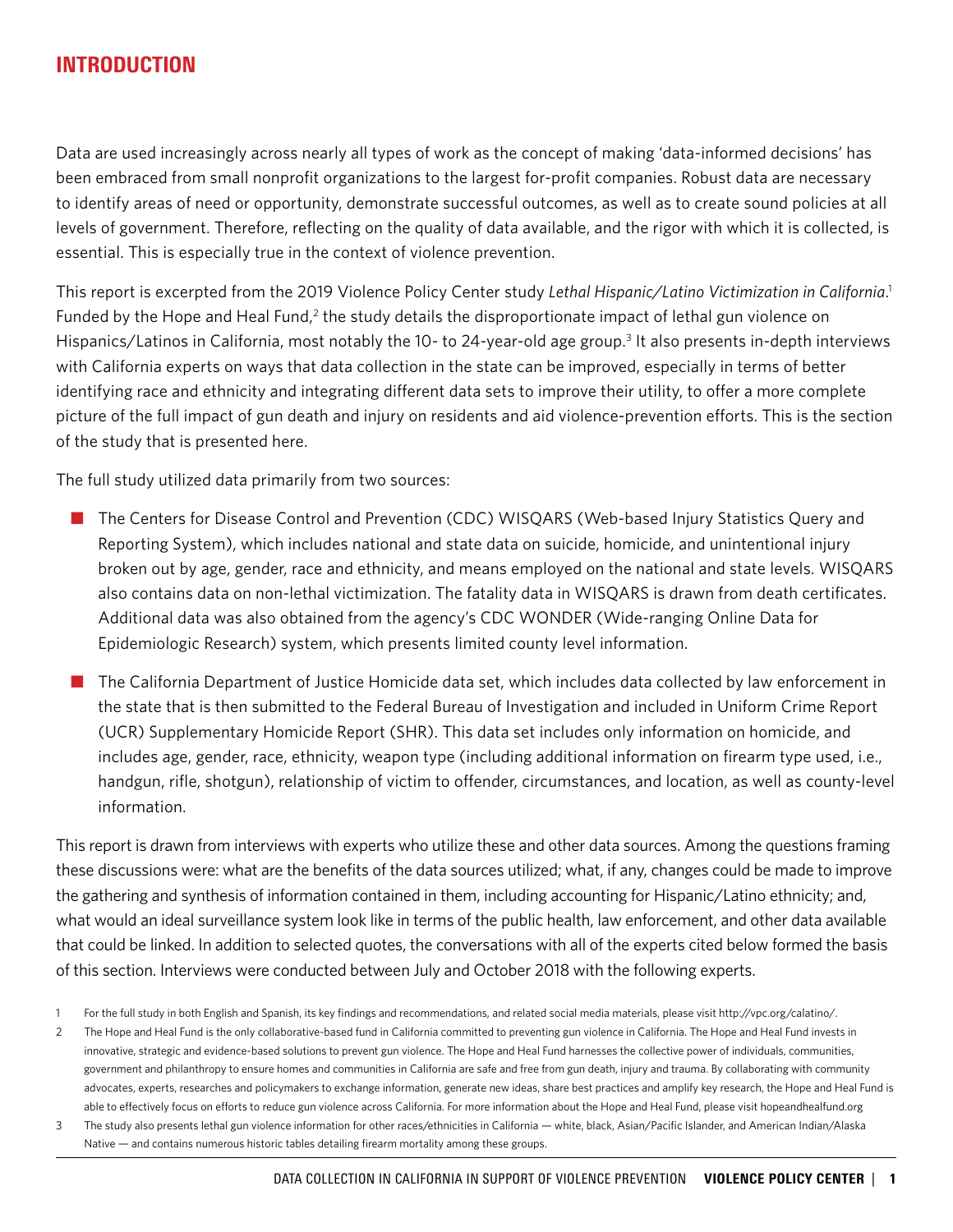### INTRODUCTION

Data are used increasingly across nearly all types of work as the concept of making 'data-informed decisions' has been embraced from small nonprofit organizations to the largest for-profit companies. Robust data are necessary to identify areas of need or opportunity, demonstrate successful outcomes, as well as to create sound policies at all levels of government. Therefore, reflecting on the quality of data available, and the rigor with which it is collected, is essential. This is especially true in the context of violence prevention.

This report is excerpted from the 2019 Violence Policy Center study *Lethal Hispanic/Latino Victimization in California*. 1 Funded by the Hope and Heal Fund,<sup>2</sup> the study details the disproportionate impact of lethal gun violence on Hispanics/Latinos in California, most notably the 10- to 24-year-old age group.<sup>3</sup> It also presents in-depth interviews with California experts on ways that data collection in the state can be improved, especially in terms of better identifying race and ethnicity and integrating different data sets to improve their utility, to offer a more complete picture of the full impact of gun death and injury on residents and aid violence-prevention efforts. This is the section of the study that is presented here.

The full study utilized data primarily from two sources:

- The Centers for Disease Control and Prevention (CDC) WISQARS (Web-based Injury Statistics Query and Reporting System), which includes national and state data on suicide, homicide, and unintentional injury broken out by age, gender, race and ethnicity, and means employed on the national and state levels. WISQARS also contains data on non-lethal victimization. The fatality data in WISQARS is drawn from death certificates. Additional data was also obtained from the agency's CDC WONDER (Wide-ranging Online Data for Epidemiologic Research) system, which presents limited county level information.
- The California Department of Justice Homicide data set, which includes data collected by law enforcement in the state that is then submitted to the Federal Bureau of Investigation and included in Uniform Crime Report (UCR) Supplementary Homicide Report (SHR). This data set includes only information on homicide, and includes age, gender, race, ethnicity, weapon type (including additional information on firearm type used, i.e., handgun, rifle, shotgun), relationship of victim to offender, circumstances, and location, as well as county-level information.

This report is drawn from interviews with experts who utilize these and other data sources. Among the questions framing these discussions were: what are the benefits of the data sources utilized; what, if any, changes could be made to improve the gathering and synthesis of information contained in them, including accounting for Hispanic/Latino ethnicity; and, what would an ideal surveillance system look like in terms of the public health, law enforcement, and other data available that could be linked. In addition to selected quotes, the conversations with all of the experts cited below formed the basis of this section. Interviews were conducted between July and October 2018 with the following experts.

<sup>1</sup> For the full study in both English and Spanish, its key findings and recommendations, and related social media materials, please visit http://vpc.org/calatino/.

<sup>2</sup> The Hope and Heal Fund is the only collaborative-based fund in California committed to preventing gun violence in California. The Hope and Heal Fund invests in innovative, strategic and evidence-based solutions to prevent gun violence. The Hope and Heal Fund harnesses the collective power of individuals, communities, government and philanthropy to ensure homes and communities in California are safe and free from gun death, injury and trauma. By collaborating with community advocates, experts, researches and policymakers to exchange information, generate new ideas, share best practices and amplify key research, the Hope and Heal Fund is able to effectively focus on efforts to reduce gun violence across California. For more information about the Hope and Heal Fund, please visit hopeandhealfund.org

<sup>3</sup> The study also presents lethal gun violence information for other races/ethnicities in California — white, black, Asian/Pacific Islander, and American Indian/Alaska Native — and contains numerous historic tables detailing firearm mortality among these groups.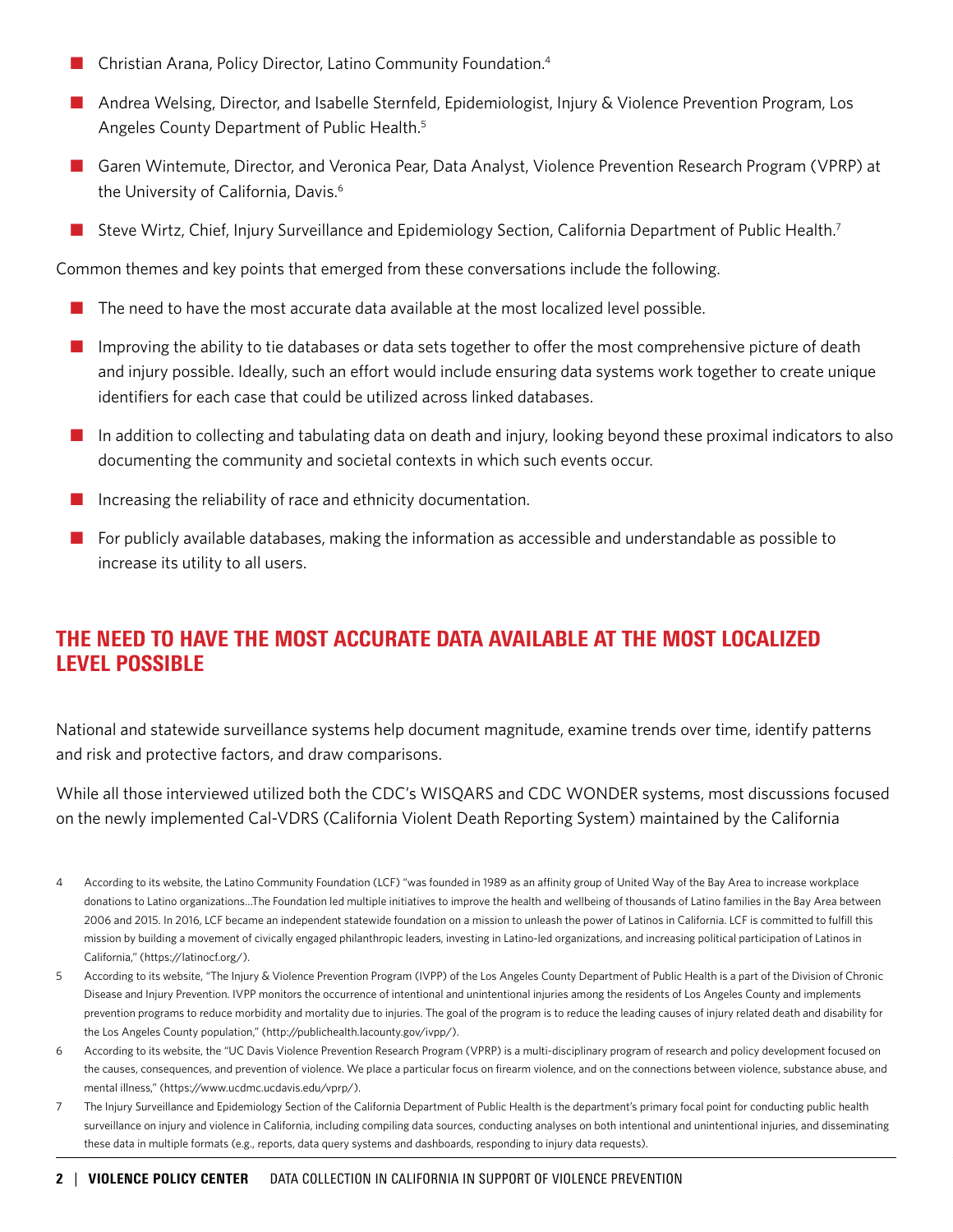- $\blacksquare$  Christian Arana, Policy Director, Latino Community Foundation.<sup>4</sup>
- **n** Andrea Welsing, Director, and Isabelle Sternfeld, Epidemiologist, Injury & Violence Prevention Program, Los Angeles County Department of Public Health.5
- n Garen Wintemute, Director, and Veronica Pear, Data Analyst, Violence Prevention Research Program (VPRP) at the University of California, Davis.<sup>6</sup>
- Steve Wirtz, Chief, Injury Surveillance and Epidemiology Section, California Department of Public Health.<sup>7</sup>

Common themes and key points that emerged from these conversations include the following.

- The need to have the most accurate data available at the most localized level possible.
- Improving the ability to tie databases or data sets together to offer the most comprehensive picture of death and injury possible. Ideally, such an effort would include ensuring data systems work together to create unique identifiers for each case that could be utilized across linked databases.
- $\blacksquare$  In addition to collecting and tabulating data on death and injury, looking beyond these proximal indicators to also documenting the community and societal contexts in which such events occur.
- Increasing the reliability of race and ethnicity documentation.
- For publicly available databases, making the information as accessible and understandable as possible to increase its utility to all users.

# THE NEED TO HAVE THE MOST ACCURATE DATA AVAILABLE AT THE MOST LOCALIZED LEVEL POSSIBLE

National and statewide surveillance systems help document magnitude, examine trends over time, identify patterns and risk and protective factors, and draw comparisons.

While all those interviewed utilized both the CDC's WISQARS and CDC WONDER systems, most discussions focused on the newly implemented Cal-VDRS (California Violent Death Reporting System) maintained by the California

- 5 According to its website, "The Injury & Violence Prevention Program (IVPP) of the Los Angeles County Department of Public Health is a part of the Division of Chronic Disease and Injury Prevention. IVPP monitors the occurrence of intentional and unintentional injuries among the residents of Los Angeles County and implements prevention programs to reduce morbidity and mortality due to injuries. The goal of the program is to reduce the leading causes of injury related death and disability for the Los Angeles County population," (http://publichealth.lacounty.gov/ivpp/).
- 6 According to its website, the "UC Davis Violence Prevention Research Program (VPRP) is a multi-disciplinary program of research and policy development focused on the causes, consequences, and prevention of violence. We place a particular focus on firearm violence, and on the connections between violence, substance abuse, and mental illness," (https://www.ucdmc.ucdavis.edu/vprp/).
- 7 The Injury Surveillance and Epidemiology Section of the California Department of Public Health is the department's primary focal point for conducting public health surveillance on injury and violence in California, including compiling data sources, conducting analyses on both intentional and unintentional injuries, and disseminating these data in multiple formats (e.g., reports, data query systems and dashboards, responding to injury data requests).

<sup>4</sup> According to its website, the Latino Community Foundation (LCF) "was founded in 1989 as an affinity group of United Way of the Bay Area to increase workplace donations to Latino organizations…The Foundation led multiple initiatives to improve the health and wellbeing of thousands of Latino families in the Bay Area between 2006 and 2015. In 2016, LCF became an independent statewide foundation on a mission to unleash the power of Latinos in California. LCF is committed to fulfill this mission by building a movement of civically engaged philanthropic leaders, investing in Latino-led organizations, and increasing political participation of Latinos in California," (https://latinocf.org/).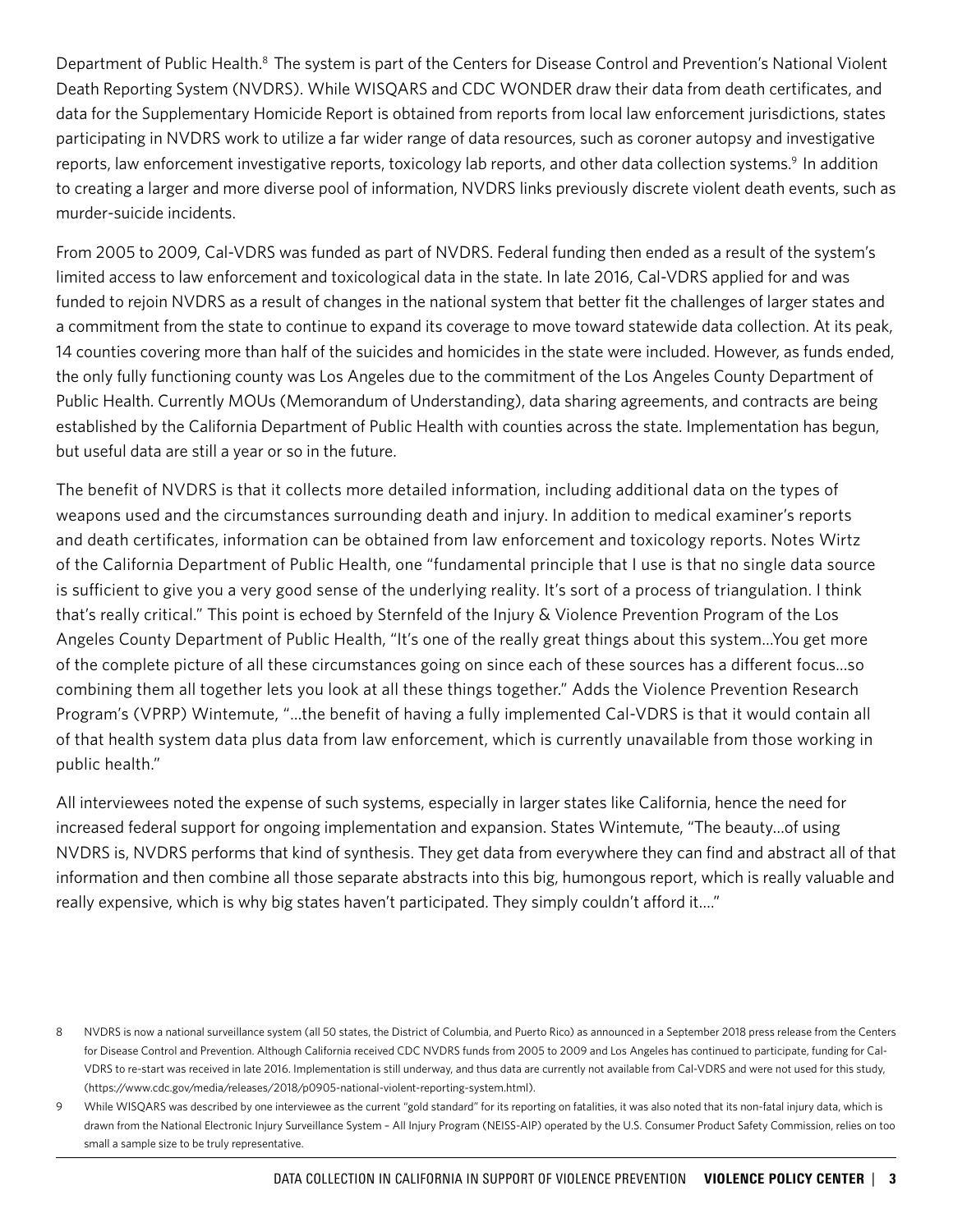Department of Public Health.<sup>8</sup> The system is part of the Centers for Disease Control and Prevention's National Violent Death Reporting System (NVDRS). While WISQARS and CDC WONDER draw their data from death certificates, and data for the Supplementary Homicide Report is obtained from reports from local law enforcement jurisdictions, states participating in NVDRS work to utilize a far wider range of data resources, such as coroner autopsy and investigative reports, law enforcement investigative reports, toxicology lab reports, and other data collection systems.<sup>9</sup> In addition to creating a larger and more diverse pool of information, NVDRS links previously discrete violent death events, such as murder-suicide incidents.

From 2005 to 2009, Cal-VDRS was funded as part of NVDRS. Federal funding then ended as a result of the system's limited access to law enforcement and toxicological data in the state. In late 2016, Cal-VDRS applied for and was funded to rejoin NVDRS as a result of changes in the national system that better fit the challenges of larger states and a commitment from the state to continue to expand its coverage to move toward statewide data collection. At its peak, 14 counties covering more than half of the suicides and homicides in the state were included. However, as funds ended, the only fully functioning county was Los Angeles due to the commitment of the Los Angeles County Department of Public Health. Currently MOUs (Memorandum of Understanding), data sharing agreements, and contracts are being established by the California Department of Public Health with counties across the state. Implementation has begun, but useful data are still a year or so in the future.

The benefit of NVDRS is that it collects more detailed information, including additional data on the types of weapons used and the circumstances surrounding death and injury. In addition to medical examiner's reports and death certificates, information can be obtained from law enforcement and toxicology reports. Notes Wirtz of the California Department of Public Health, one "fundamental principle that I use is that no single data source is sufficient to give you a very good sense of the underlying reality. It's sort of a process of triangulation. I think that's really critical." This point is echoed by Sternfeld of the Injury & Violence Prevention Program of the Los Angeles County Department of Public Health, "It's one of the really great things about this system…You get more of the complete picture of all these circumstances going on since each of these sources has a different focus...so combining them all together lets you look at all these things together." Adds the Violence Prevention Research Program's (VPRP) Wintemute, "…the benefit of having a fully implemented Cal-VDRS is that it would contain all of that health system data plus data from law enforcement, which is currently unavailable from those working in public health."

All interviewees noted the expense of such systems, especially in larger states like California, hence the need for increased federal support for ongoing implementation and expansion. States Wintemute, "The beauty…of using NVDRS is, NVDRS performs that kind of synthesis. They get data from everywhere they can find and abstract all of that information and then combine all those separate abstracts into this big, humongous report, which is really valuable and really expensive, which is why big states haven't participated. They simply couldn't afford it…."

<sup>8</sup> NVDRS is now a national surveillance system (all 50 states, the District of Columbia, and Puerto Rico) as announced in a September 2018 press release from the Centers for Disease Control and Prevention. Although California received CDC NVDRS funds from 2005 to 2009 and Los Angeles has continued to participate, funding for Cal-VDRS to re-start was received in late 2016. Implementation is still underway, and thus data are currently not available from Cal-VDRS and were not used for this study, (https://www.cdc.gov/media/releases/2018/p0905-national-violent-reporting-system.html).

<sup>9</sup> While WISQARS was described by one interviewee as the current "gold standard" for its reporting on fatalities, it was also noted that its non-fatal injury data, which is drawn from the National Electronic Injury Surveillance System – All Injury Program (NEISS-AIP) operated by the U.S. Consumer Product Safety Commission, relies on too small a sample size to be truly representative.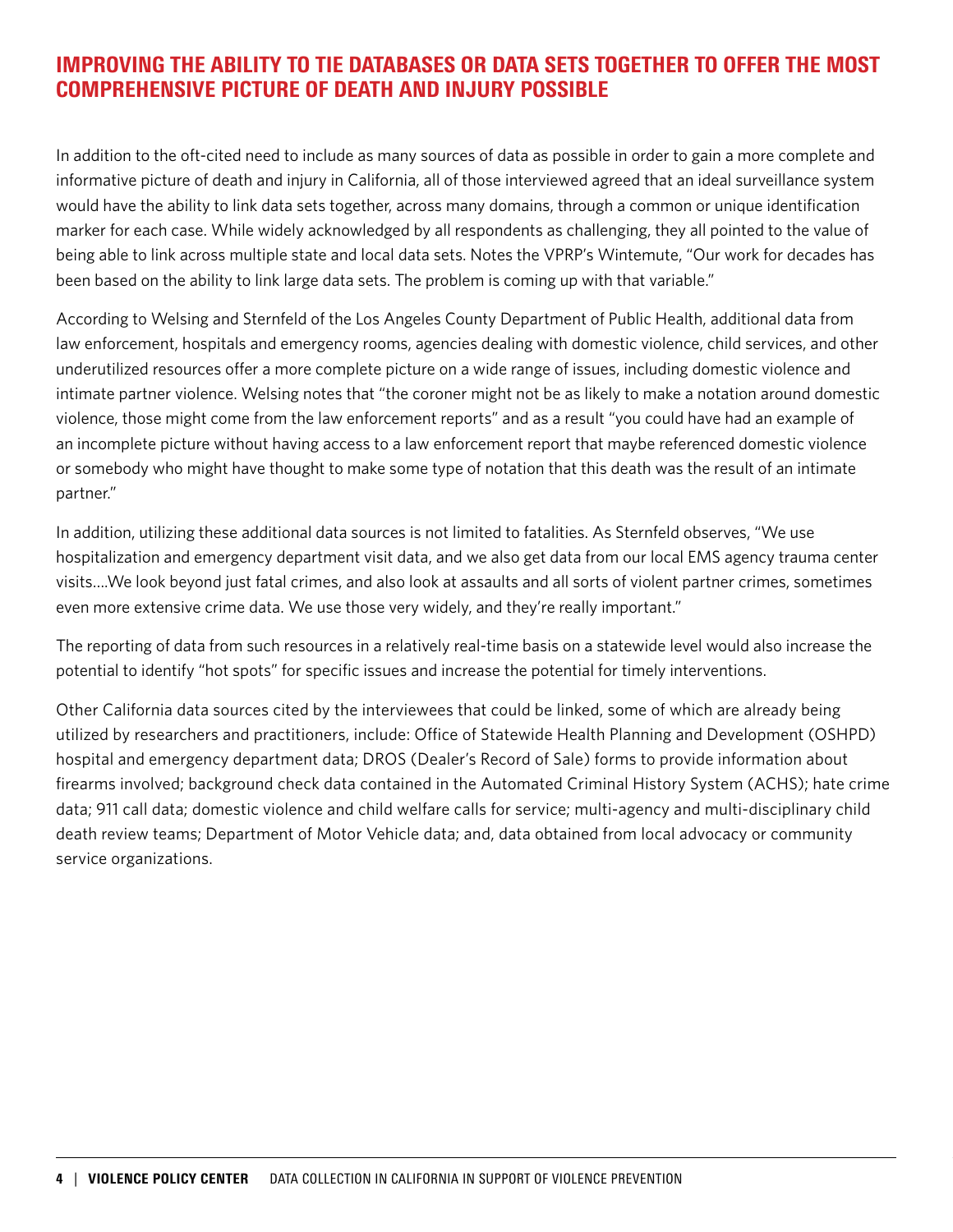### IMPROVING THE ABILITY TO TIE DATABASES OR DATA SETS TOGETHER TO OFFER THE MOST COMPREHENSIVE PICTURE OF DEATH AND INJURY POSSIBLE

In addition to the oft-cited need to include as many sources of data as possible in order to gain a more complete and informative picture of death and injury in California, all of those interviewed agreed that an ideal surveillance system would have the ability to link data sets together, across many domains, through a common or unique identification marker for each case. While widely acknowledged by all respondents as challenging, they all pointed to the value of being able to link across multiple state and local data sets. Notes the VPRP's Wintemute, "Our work for decades has been based on the ability to link large data sets. The problem is coming up with that variable."

According to Welsing and Sternfeld of the Los Angeles County Department of Public Health, additional data from law enforcement, hospitals and emergency rooms, agencies dealing with domestic violence, child services, and other underutilized resources offer a more complete picture on a wide range of issues, including domestic violence and intimate partner violence. Welsing notes that "the coroner might not be as likely to make a notation around domestic violence, those might come from the law enforcement reports" and as a result "you could have had an example of an incomplete picture without having access to a law enforcement report that maybe referenced domestic violence or somebody who might have thought to make some type of notation that this death was the result of an intimate partner."

In addition, utilizing these additional data sources is not limited to fatalities. As Sternfeld observes, "We use hospitalization and emergency department visit data, and we also get data from our local EMS agency trauma center visits….We look beyond just fatal crimes, and also look at assaults and all sorts of violent partner crimes, sometimes even more extensive crime data. We use those very widely, and they're really important."

The reporting of data from such resources in a relatively real-time basis on a statewide level would also increase the potential to identify "hot spots" for specific issues and increase the potential for timely interventions.

Other California data sources cited by the interviewees that could be linked, some of which are already being utilized by researchers and practitioners, include: Office of Statewide Health Planning and Development (OSHPD) hospital and emergency department data; DROS (Dealer's Record of Sale) forms to provide information about firearms involved; background check data contained in the Automated Criminal History System (ACHS); hate crime data; 911 call data; domestic violence and child welfare calls for service; multi-agency and multi-disciplinary child death review teams; Department of Motor Vehicle data; and, data obtained from local advocacy or community service organizations.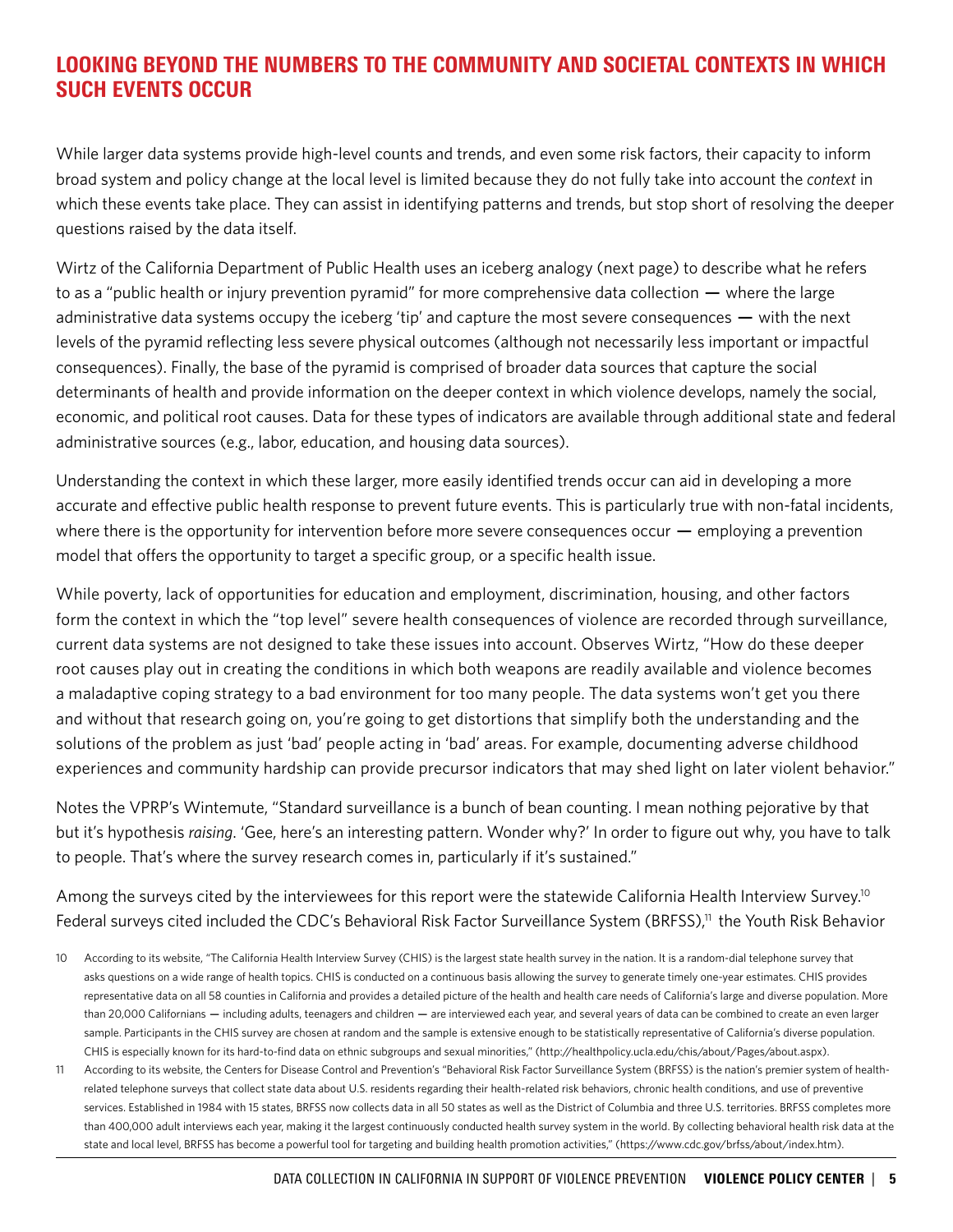# LOOKING BEYOND THE NUMBERS TO THE COMMUNITY AND SOCIETAL CONTEXTS IN WHICH SUCH EVENTS OCCUR

While larger data systems provide high-level counts and trends, and even some risk factors, their capacity to inform broad system and policy change at the local level is limited because they do not fully take into account the *context* in which these events take place. They can assist in identifying patterns and trends, but stop short of resolving the deeper questions raised by the data itself.

Wirtz of the California Department of Public Health uses an iceberg analogy (next page) to describe what he refers to as a "public health or injury prevention pyramid" for more comprehensive data collection — where the large administrative data systems occupy the iceberg 'tip' and capture the most severe consequences — with the next levels of the pyramid reflecting less severe physical outcomes (although not necessarily less important or impactful consequences). Finally, the base of the pyramid is comprised of broader data sources that capture the social determinants of health and provide information on the deeper context in which violence develops, namely the social, economic, and political root causes. Data for these types of indicators are available through additional state and federal administrative sources (e.g., labor, education, and housing data sources).

Understanding the context in which these larger, more easily identified trends occur can aid in developing a more accurate and effective public health response to prevent future events. This is particularly true with non-fatal incidents, where there is the opportunity for intervention before more severe consequences occur — employing a prevention model that offers the opportunity to target a specific group, or a specific health issue.

While poverty, lack of opportunities for education and employment, discrimination, housing, and other factors form the context in which the "top level" severe health consequences of violence are recorded through surveillance, current data systems are not designed to take these issues into account. Observes Wirtz, "How do these deeper root causes play out in creating the conditions in which both weapons are readily available and violence becomes a maladaptive coping strategy to a bad environment for too many people. The data systems won't get you there and without that research going on, you're going to get distortions that simplify both the understanding and the solutions of the problem as just 'bad' people acting in 'bad' areas. For example, documenting adverse childhood experiences and community hardship can provide precursor indicators that may shed light on later violent behavior."

Notes the VPRP's Wintemute, "Standard surveillance is a bunch of bean counting. I mean nothing pejorative by that but it's hypothesis *raising*. 'Gee, here's an interesting pattern. Wonder why?' In order to figure out why, you have to talk to people. That's where the survey research comes in, particularly if it's sustained."

Among the surveys cited by the interviewees for this report were the statewide California Health Interview Survey.<sup>10</sup> Federal surveys cited included the CDC's Behavioral Risk Factor Surveillance System (BRFSS),<sup>11</sup> the Youth Risk Behavior

- 10 According to its website, "The California Health Interview Survey (CHIS) is the largest state health survey in the nation. It is a random-dial telephone survey that asks questions on a wide range of health topics. CHIS is conducted on a continuous basis allowing the survey to generate timely one-year estimates. CHIS provides representative data on all 58 counties in California and provides a detailed picture of the health and health care needs of California's large and diverse population. More than 20,000 Californians — including adults, teenagers and children — are interviewed each year, and several years of data can be combined to create an even larger sample. Participants in the CHIS survey are chosen at random and the sample is extensive enough to be statistically representative of California's diverse population. CHIS is especially known for its hard-to-find data on ethnic subgroups and sexual minorities," (http://healthpolicy.ucla.edu/chis/about/Pages/about.aspx).
- 11 According to its website, the Centers for Disease Control and Prevention's "Behavioral Risk Factor Surveillance System (BRFSS) is the nation's premier system of healthrelated telephone surveys that collect state data about U.S. residents regarding their health-related risk behaviors, chronic health conditions, and use of preventive services. Established in 1984 with 15 states, BRFSS now collects data in all 50 states as well as the District of Columbia and three U.S. territories. BRFSS completes more than 400,000 adult interviews each year, making it the largest continuously conducted health survey system in the world. By collecting behavioral health risk data at the state and local level, BRFSS has become a powerful tool for targeting and building health promotion activities," (https://www.cdc.gov/brfss/about/index.htm).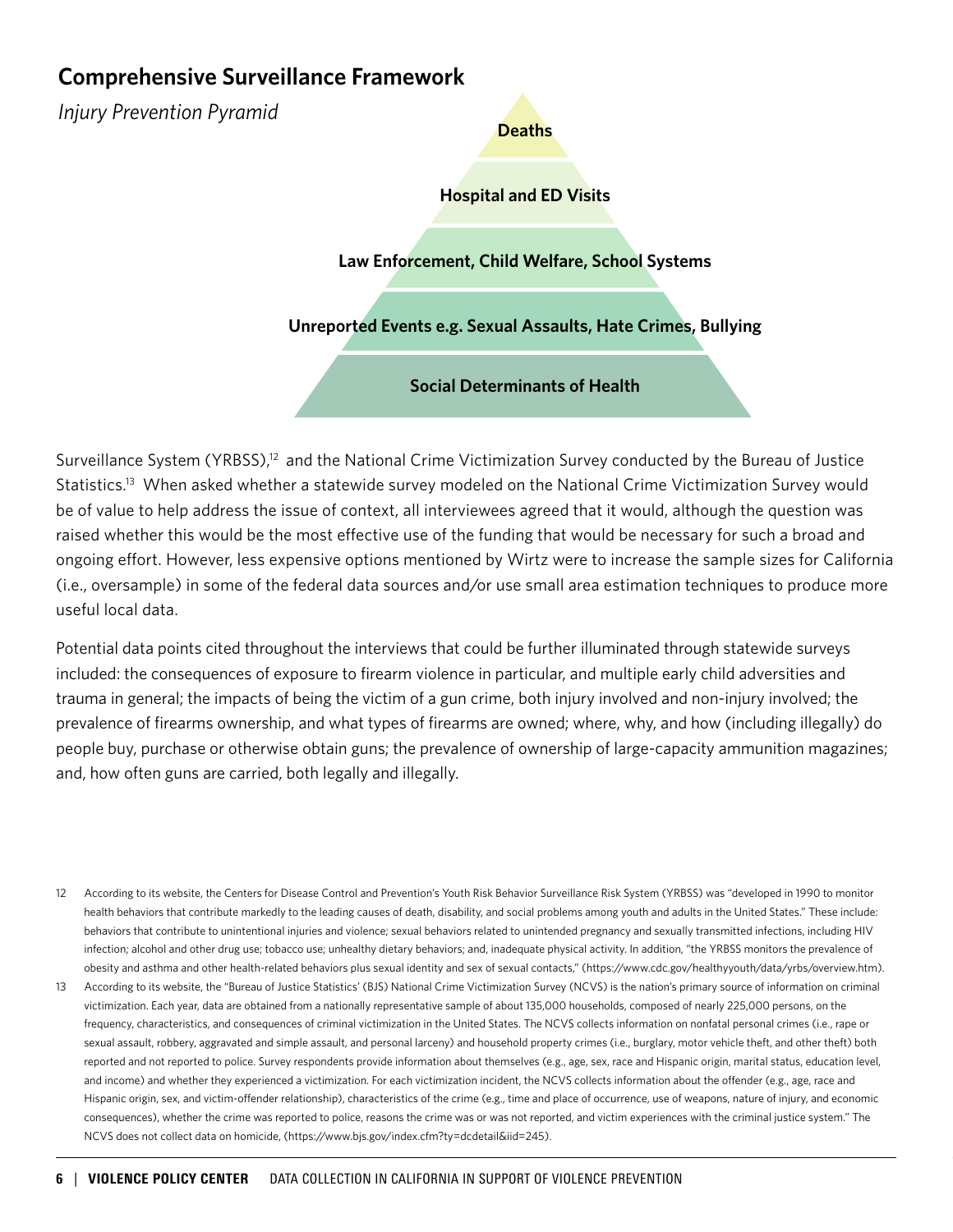# **Comprehensive Surveillance Framework**

*Injury Prevention Pyramid*

### **Hospital and ED Visits**

**Deaths**

**Law Enforcement, Child Welfare, School Systems**

**Unreported Events e.g. Sexual Assaults, Hate Crimes, Bullying**

**Social Determinants of Health**

Surveillance System (YRBSS),<sup>12</sup> and the National Crime Victimization Survey conducted by the Bureau of Justice Statistics.13 When asked whether a statewide survey modeled on the National Crime Victimization Survey would be of value to help address the issue of context, all interviewees agreed that it would, although the question was raised whether this would be the most effective use of the funding that would be necessary for such a broad and ongoing effort. However, less expensive options mentioned by Wirtz were to increase the sample sizes for California (i.e., oversample) in some of the federal data sources and/or use small area estimation techniques to produce more useful local data.

Potential data points cited throughout the interviews that could be further illuminated through statewide surveys included: the consequences of exposure to firearm violence in particular, and multiple early child adversities and trauma in general; the impacts of being the victim of a gun crime, both injury involved and non-injury involved; the prevalence of firearms ownership, and what types of firearms are owned; where, why, and how (including illegally) do people buy, purchase or otherwise obtain guns; the prevalence of ownership of large-capacity ammunition magazines; and, how often guns are carried, both legally and illegally.

- 12 According to its website, the Centers for Disease Control and Prevention's Youth Risk Behavior Surveillance Risk System (YRBSS) was "developed in 1990 to monitor health behaviors that contribute markedly to the leading causes of death, disability, and social problems among youth and adults in the United States." These include: behaviors that contribute to unintentional injuries and violence; sexual behaviors related to unintended pregnancy and sexually transmitted infections, including HIV infection; alcohol and other drug use; tobacco use; unhealthy dietary behaviors; and, inadequate physical activity. In addition, "the YRBSS monitors the prevalence of obesity and asthma and other health-related behaviors plus sexual identity and sex of sexual contacts," (https://www.cdc.gov/healthyyouth/data/yrbs/overview.htm).
- 13 According to its website, the "Bureau of Justice Statistics' (BJS) National Crime Victimization Survey (NCVS) is the nation's primary source of information on criminal victimization. Each year, data are obtained from a nationally representative sample of about 135,000 households, composed of nearly 225,000 persons, on the frequency, characteristics, and consequences of criminal victimization in the United States. The NCVS collects information on nonfatal personal crimes (i.e., rape or sexual assault, robbery, aggravated and simple assault, and personal larceny) and household property crimes (i.e., burglary, motor vehicle theft, and other theft) both reported and not reported to police. Survey respondents provide information about themselves (e.g., age, sex, race and Hispanic origin, marital status, education level, and income) and whether they experienced a victimization. For each victimization incident, the NCVS collects information about the offender (e.g., age, race and Hispanic origin, sex, and victim-offender relationship), characteristics of the crime (e.g., time and place of occurrence, use of weapons, nature of injury, and economic consequences), whether the crime was reported to police, reasons the crime was or was not reported, and victim experiences with the criminal justice system." The NCVS does not collect data on homicide, (https://www.bjs.gov/index.cfm?ty=dcdetail&iid=245).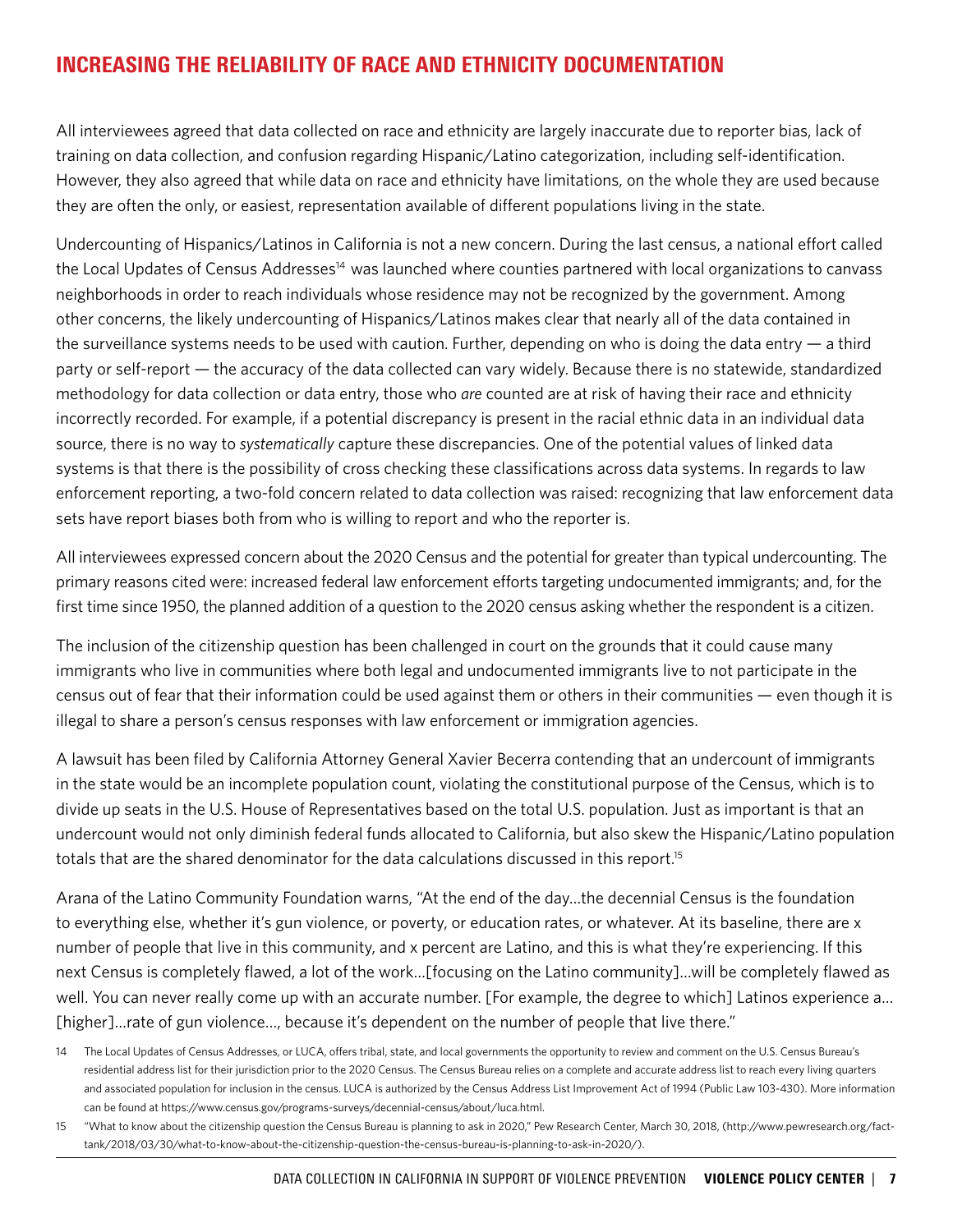# INCREASING THE RELIABILITY OF RACE AND ETHNICITY DOCUMENTATION

All interviewees agreed that data collected on race and ethnicity are largely inaccurate due to reporter bias, lack of training on data collection, and confusion regarding Hispanic/Latino categorization, including self-identification. However, they also agreed that while data on race and ethnicity have limitations, on the whole they are used because they are often the only, or easiest, representation available of different populations living in the state.

Undercounting of Hispanics/Latinos in California is not a new concern. During the last census, a national effort called the Local Updates of Census Addresses<sup>14</sup> was launched where counties partnered with local organizations to canvass neighborhoods in order to reach individuals whose residence may not be recognized by the government. Among other concerns, the likely undercounting of Hispanics/Latinos makes clear that nearly all of the data contained in the surveillance systems needs to be used with caution. Further, depending on who is doing the data entry — a third party or self-report — the accuracy of the data collected can vary widely. Because there is no statewide, standardized methodology for data collection or data entry, those who *are* counted are at risk of having their race and ethnicity incorrectly recorded. For example, if a potential discrepancy is present in the racial ethnic data in an individual data source, there is no way to *systematically* capture these discrepancies. One of the potential values of linked data systems is that there is the possibility of cross checking these classifications across data systems. In regards to law enforcement reporting, a two-fold concern related to data collection was raised: recognizing that law enforcement data sets have report biases both from who is willing to report and who the reporter is.

All interviewees expressed concern about the 2020 Census and the potential for greater than typical undercounting. The primary reasons cited were: increased federal law enforcement efforts targeting undocumented immigrants; and, for the first time since 1950, the planned addition of a question to the 2020 census asking whether the respondent is a citizen.

The inclusion of the citizenship question has been challenged in court on the grounds that it could cause many immigrants who live in communities where both legal and undocumented immigrants live to not participate in the census out of fear that their information could be used against them or others in their communities — even though it is illegal to share a person's census responses with law enforcement or immigration agencies.

A lawsuit has been filed by California Attorney General Xavier Becerra contending that an undercount of immigrants in the state would be an incomplete population count, violating the constitutional purpose of the Census, which is to divide up seats in the U.S. House of Representatives based on the total U.S. population. Just as important is that an undercount would not only diminish federal funds allocated to California, but also skew the Hispanic/Latino population totals that are the shared denominator for the data calculations discussed in this report.<sup>15</sup>

Arana of the Latino Community Foundation warns, "At the end of the day…the decennial Census is the foundation to everything else, whether it's gun violence, or poverty, or education rates, or whatever. At its baseline, there are x number of people that live in this community, and x percent are Latino, and this is what they're experiencing. If this next Census is completely flawed, a lot of the work…[focusing on the Latino community]…will be completely flawed as well. You can never really come up with an accurate number. [For example, the degree to which] Latinos experience a... [higher]…rate of gun violence…, because it's dependent on the number of people that live there."

<sup>14</sup> The Local Updates of Census Addresses, or LUCA, offers tribal, state, and local governments the opportunity to review and comment on the U.S. Census Bureau's residential address list for their jurisdiction prior to the 2020 Census. The Census Bureau relies on a complete and accurate address list to reach every living quarters and associated population for inclusion in the census. LUCA is authorized by the Census Address List Improvement Act of 1994 (Public Law 103-430). More information can be found at https://www.census.gov/programs-surveys/decennial-census/about/luca.html.

<sup>15</sup> "What to know about the citizenship question the Census Bureau is planning to ask in 2020," Pew Research Center, March 30, 2018, (http://www.pewresearch.org/facttank/2018/03/30/what-to-know-about-the-citizenship-question-the-census-bureau-is-planning-to-ask-in-2020/).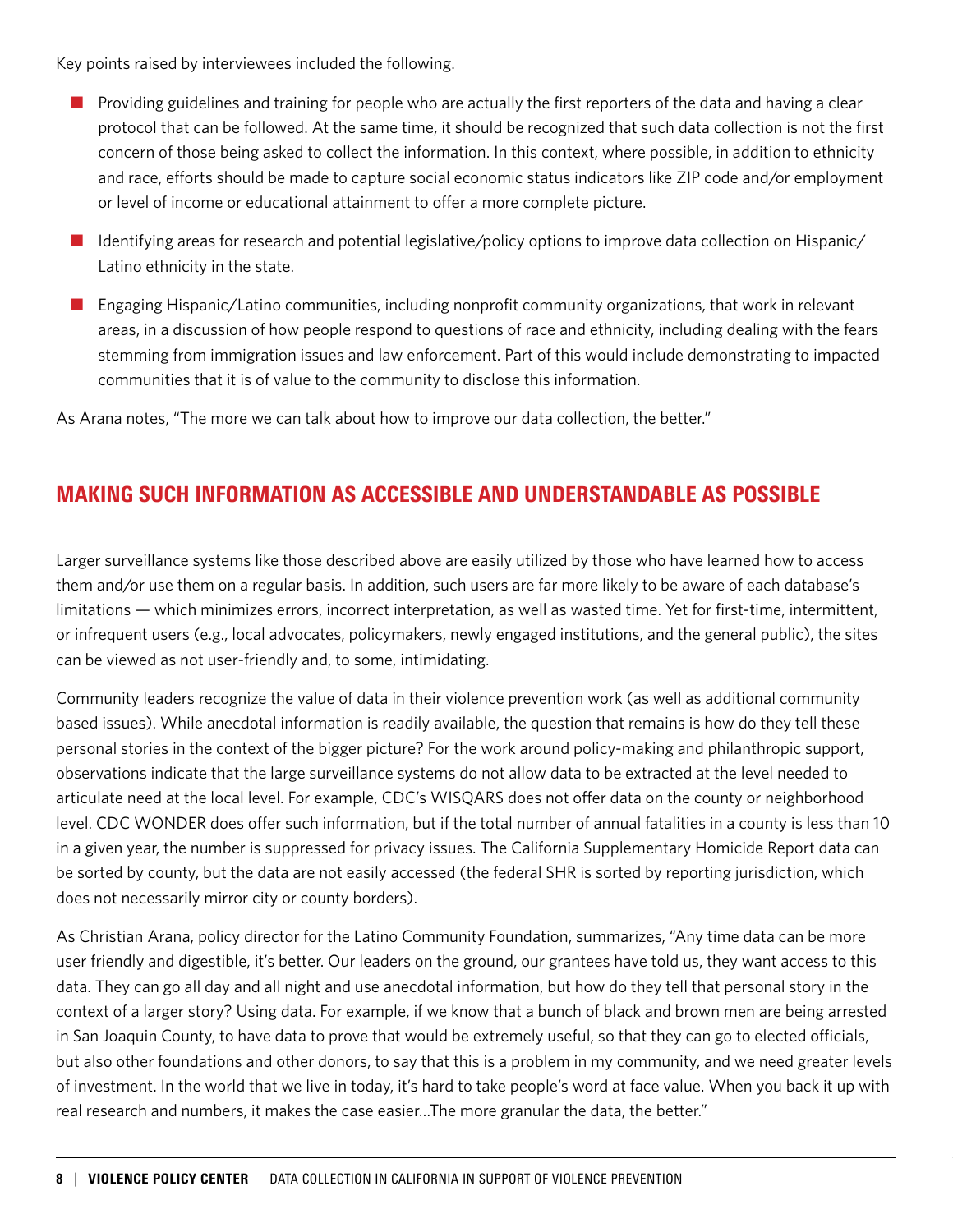Key points raised by interviewees included the following.

- **n** Providing guidelines and training for people who are actually the first reporters of the data and having a clear protocol that can be followed. At the same time, it should be recognized that such data collection is not the first concern of those being asked to collect the information. In this context, where possible, in addition to ethnicity and race, efforts should be made to capture social economic status indicators like ZIP code and/or employment or level of income or educational attainment to offer a more complete picture.
- $\blacksquare$  Identifying areas for research and potential legislative/policy options to improve data collection on Hispanic/ Latino ethnicity in the state.
- **n** Engaging Hispanic/Latino communities, including nonprofit community organizations, that work in relevant areas, in a discussion of how people respond to questions of race and ethnicity, including dealing with the fears stemming from immigration issues and law enforcement. Part of this would include demonstrating to impacted communities that it is of value to the community to disclose this information.

As Arana notes, "The more we can talk about how to improve our data collection, the better."

### MAKING SUCH INFORMATION AS ACCESSIBLE AND UNDERSTANDABLE AS POSSIBLE

Larger surveillance systems like those described above are easily utilized by those who have learned how to access them and/or use them on a regular basis. In addition, such users are far more likely to be aware of each database's limitations — which minimizes errors, incorrect interpretation, as well as wasted time. Yet for first-time, intermittent, or infrequent users (e.g., local advocates, policymakers, newly engaged institutions, and the general public), the sites can be viewed as not user-friendly and, to some, intimidating.

Community leaders recognize the value of data in their violence prevention work (as well as additional community based issues). While anecdotal information is readily available, the question that remains is how do they tell these personal stories in the context of the bigger picture? For the work around policy-making and philanthropic support, observations indicate that the large surveillance systems do not allow data to be extracted at the level needed to articulate need at the local level. For example, CDC's WISQARS does not offer data on the county or neighborhood level. CDC WONDER does offer such information, but if the total number of annual fatalities in a county is less than 10 in a given year, the number is suppressed for privacy issues. The California Supplementary Homicide Report data can be sorted by county, but the data are not easily accessed (the federal SHR is sorted by reporting jurisdiction, which does not necessarily mirror city or county borders).

As Christian Arana, policy director for the Latino Community Foundation, summarizes, "Any time data can be more user friendly and digestible, it's better. Our leaders on the ground, our grantees have told us, they want access to this data. They can go all day and all night and use anecdotal information, but how do they tell that personal story in the context of a larger story? Using data. For example, if we know that a bunch of black and brown men are being arrested in San Joaquin County, to have data to prove that would be extremely useful, so that they can go to elected officials, but also other foundations and other donors, to say that this is a problem in my community, and we need greater levels of investment. In the world that we live in today, it's hard to take people's word at face value. When you back it up with real research and numbers, it makes the case easier…The more granular the data, the better."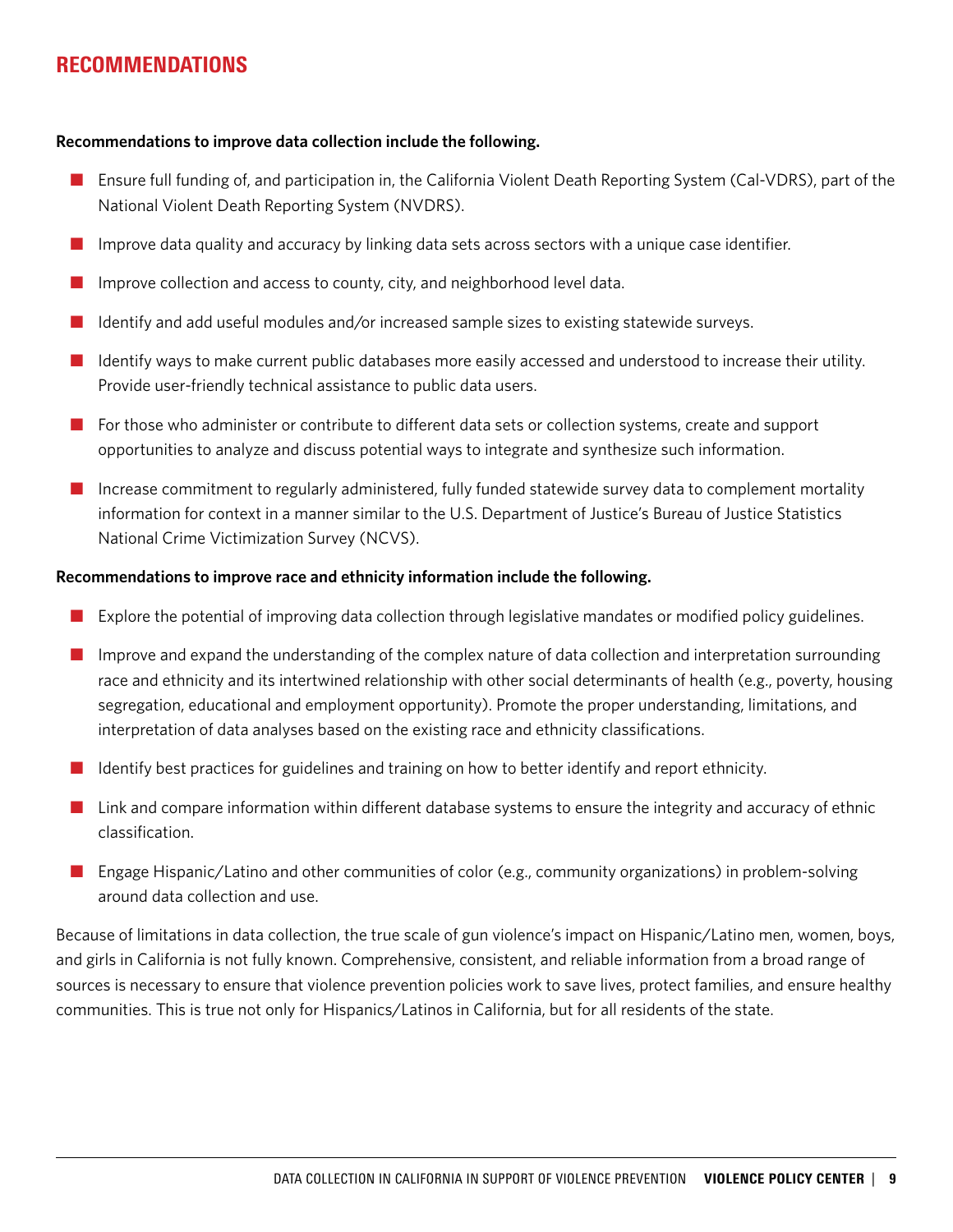### RECOMMENDATIONS

### **Recommendations to improve data collection include the following.**

- **n** Ensure full funding of, and participation in, the California Violent Death Reporting System (Cal-VDRS), part of the National Violent Death Reporting System (NVDRS).
- **n** Improve data quality and accuracy by linking data sets across sectors with a unique case identifier.
- Improve collection and access to county, city, and neighborhood level data.
- Identify and add useful modules and/or increased sample sizes to existing statewide surveys.
- n Identify ways to make current public databases more easily accessed and understood to increase their utility. Provide user-friendly technical assistance to public data users.
- $\blacksquare$  For those who administer or contribute to different data sets or collection systems, create and support opportunities to analyze and discuss potential ways to integrate and synthesize such information.
- $\blacksquare$  Increase commitment to regularly administered, fully funded statewide survey data to complement mortality information for context in a manner similar to the U.S. Department of Justice's Bureau of Justice Statistics National Crime Victimization Survey (NCVS).

### **Recommendations to improve race and ethnicity information include the following.**

- $\blacksquare$  Explore the potential of improving data collection through legislative mandates or modified policy guidelines.
- **n** Improve and expand the understanding of the complex nature of data collection and interpretation surrounding race and ethnicity and its intertwined relationship with other social determinants of health (e.g., poverty, housing segregation, educational and employment opportunity). Promote the proper understanding, limitations, and interpretation of data analyses based on the existing race and ethnicity classifications.
- $\blacksquare$  Identify best practices for guidelines and training on how to better identify and report ethnicity.
- $\blacksquare$  Link and compare information within different database systems to ensure the integrity and accuracy of ethnic classification.
- **n** Engage Hispanic/Latino and other communities of color (e.g., community organizations) in problem-solving around data collection and use.

Because of limitations in data collection, the true scale of gun violence's impact on Hispanic/Latino men, women, boys, and girls in California is not fully known. Comprehensive, consistent, and reliable information from a broad range of sources is necessary to ensure that violence prevention policies work to save lives, protect families, and ensure healthy communities. This is true not only for Hispanics/Latinos in California, but for all residents of the state.